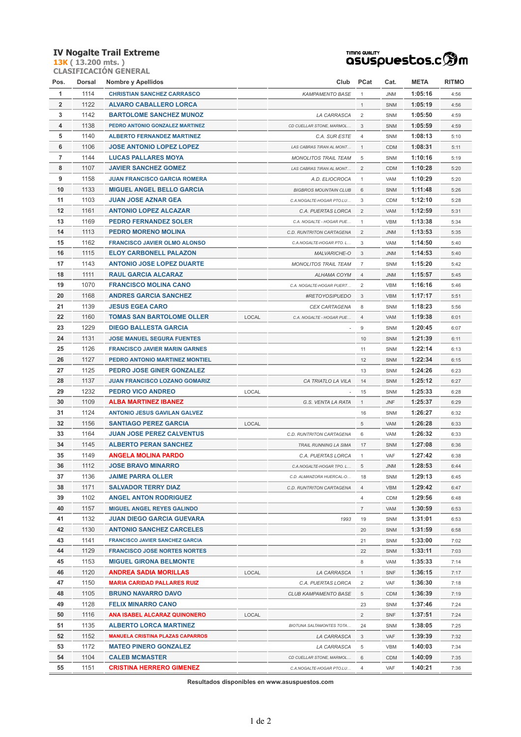## **IV Nogalte Trail Extreme**

**13K ( 13.200 mts. ) CLASIFICACIÓN GENERAL**

## **TIMING QUALITY**<br>QSUSpUestos.c<sup>6</sup>m

| Pos.           | Dorsal | Nombre y Apellidos                      |       | Club                            | PCat            | Cat.       | META    | RITMO |
|----------------|--------|-----------------------------------------|-------|---------------------------------|-----------------|------------|---------|-------|
| $\mathbf{1}$   | 1114   | <b>CHRISTIAN SANCHEZ CARRASCO</b>       |       | <b>KAMPAMENTO BASE</b>          | $\mathbf{1}$    | <b>JNM</b> | 1:05:16 | 4:56  |
| $\overline{2}$ | 1122   | <b>ALVARO CABALLERO LORCA</b>           |       |                                 | $\mathbf{1}$    | SNM        | 1:05:19 | 4:56  |
| 3              | 1142   | <b>BARTOLOME SANCHEZ MUNOZ</b>          |       | LA CARRASCA                     | $\overline{2}$  | SNM        | 1:05:50 | 4:59  |
| 4              | 1138   | PEDRO ANTONIO GONZALEZ MARTINEZ         |       | CD CUELLAR STONE, MARMOL        | 3               | <b>SNM</b> | 1:05:59 | 4:59  |
| 5              | 1140   | <b>ALBERTO FERNANDEZ MARTINEZ</b>       |       | C.A. SUR ESTE                   | 4               | SNM        | 1:08:13 | 5:10  |
| 6              | 1106   | <b>JOSE ANTONIO LOPEZ LOPEZ</b>         |       | LAS CABRAS TIRAN AL MONT        | $\mathbf{1}$    | <b>CDM</b> | 1:08:31 | 5:11  |
| $\overline{7}$ | 1144   | <b>LUCAS PALLARES MOYA</b>              |       | <b>MONOLITOS TRAIL TEAM</b>     | 5               | SNM        | 1:10:16 | 5:19  |
| 8              | 1107   | <b>JAVIER SANCHEZ GOMEZ</b>             |       | LAS CABRAS TIRAN AL MONT        | $\overline{2}$  | <b>CDM</b> | 1:10:28 | 5:20  |
| 9              | 1158   | <b>JUAN FRANCISCO GARCIA ROMERA</b>     |       | A.D. ELIOCROCA                  | $\mathbf{1}$    | VAM        | 1:10:29 | 5:20  |
| 10             | 1133   | <b>MIGUEL ANGEL BELLO GARCIA</b>        |       | <b>BIGBROS MOUNTAIN CLUB</b>    | 6               | SNM        | 1:11:48 | 5:26  |
| 11             | 1103   | <b>JUAN JOSE AZNAR GEA</b>              |       | C.A.NOGALTE-HOGAR PTO.LU        | 3               | CDM        | 1:12:10 | 5:28  |
| 12             | 1161   | <b>ANTONIO LOPEZ ALCAZAR</b>            |       | C.A. PUERTAS LORCA              | $\overline{2}$  | VAM        | 1:12:59 | 5:31  |
| 13             | 1169   | <b>PEDRO FERNANDEZ SOLER</b>            |       | C.A. NOGALTE - HOGAR PUE        | 1               | <b>VBM</b> | 1:13:38 | 5:34  |
| 14             | 1113   | <b>PEDRO MORENO MOLINA</b>              |       | C.D. RUNTRITON CARTAGENA        | $\overline{2}$  | <b>JNM</b> | 1:13:53 | 5:35  |
| 15             | 1162   | <b>FRANCISCO JAVIER OLMO ALONSO</b>     |       | C.A.NOGALTE-HOGAR PTO. L        | 3               | VAM        | 1:14:50 | 5:40  |
| 16             | 1115   | <b>ELOY CARBONELL PALAZON</b>           |       | <b>MALVARICHE-O</b>             | 3               | <b>JNM</b> | 1:14:53 | 5:40  |
| 17             | 1143   | <b>ANTONIO JOSE LOPEZ DUARTE</b>        |       | <b>MONOLITOS TRAIL TEAM</b>     | $\overline{7}$  | SNM        | 1:15:20 | 5:42  |
| 18             | 1111   | <b>RAUL GARCIA ALCARAZ</b>              |       | ALHAMA COYM                     | $\overline{4}$  | <b>JNM</b> | 1:15:57 | 5:45  |
| 19             | 1070   | <b>FRANCISCO MOLINA CANO</b>            |       | C.A. NOGALTE-HOGAR PUERT        | 2               | <b>VBM</b> | 1:16:16 | 5:46  |
| 20             | 1168   | <b>ANDRES GARCIA SANCHEZ</b>            |       | #RETOYOSIPUEDO                  | 3               | VBM        | 1:17:17 | 5:51  |
| 21             | 1139   | <b>JESUS EGEA CARO</b>                  |       | CEX CARTAGENA                   | 8               | SNM        | 1:18:23 | 5:56  |
| 22             | 1160   | <b>TOMAS SAN BARTOLOME OLLER</b>        | LOCAL | C.A. NOGALTE - HOGAR PUE        | $\overline{4}$  | VAM        | 1:19:38 | 6:01  |
| 23             | 1229   | <b>DIEGO BALLESTA GARCIA</b>            |       | $\overline{\phantom{a}}$        | 9               | SNM        | 1:20:45 | 6:07  |
| 24             | 1131   | <b>JOSE MANUEL SEGURA FUENTES</b>       |       |                                 | 10              | SNM        | 1:21:39 | 6:11  |
| 25             | 1126   | <b>FRANCISCO JAVIER MARIN GARNES</b>    |       |                                 | 11              | SNM        | 1:22:14 | 6:13  |
| 26             | 1127   | PEDRO ANTONIO MARTINEZ MONTIEL          |       |                                 | 12              | SNM        | 1:22:34 | 6:15  |
| 27             | 1125   | PEDRO JOSE GINER GONZALEZ               |       |                                 | 13              | SNM        | 1:24:26 | 6:23  |
| 28             | 1137   | <b>JUAN FRANCISCO LOZANO GOMARIZ</b>    |       | CA TRIATLO LA VILA              | 14              | SNM        | 1:25:12 | 6:27  |
| 29             | 1232   | <b>PEDRO VICO ANDREO</b>                | LOCAL |                                 | 15              | SNM        | 1:25:33 | 6:28  |
| 30             | 1109   | <b>ALBA MARTINEZ IBANEZ</b>             |       | G.S. VENTA LA RATA              | $\mathbf{1}$    | <b>JNF</b> | 1:25:37 | 6:29  |
| 31             | 1124   | <b>ANTONIO JESUS GAVILAN GALVEZ</b>     |       |                                 | 16              | SNM        | 1:26:27 | 6:32  |
| 32             | 1156   | <b>SANTIAGO PEREZ GARCIA</b>            | LOCAL |                                 | 5               | VAM        | 1:26:28 | 6:33  |
| 33             | 1164   | <b>JUAN JOSE PEREZ CALVENTUS</b>        |       | C.D. RUNTRITON CARTAGENA        | 6               | VAM        | 1:26:32 | 6:33  |
| 34             | 1145   | <b>ALBERTO PERAN SANCHEZ</b>            |       | TRAIL RUNNING LA SIMA           | 17              | <b>SNM</b> | 1:27:08 | 6:36  |
| 35             | 1149   | <b>ANGELA MOLINA PARDO</b>              |       | C.A. PUERTAS LORCA              | $\mathbf{1}$    | VAF        | 1:27:42 | 6:38  |
| 36             | 1112   | <b>JOSE BRAVO MINARRO</b>               |       | C.A.NOGALTE-HOGAR TPO. L        | 5               | <b>JNM</b> | 1:28:53 | 6:44  |
| 37             | 1136   | <b>JAIME PARRA OLLER</b>                |       | C.D. ALMANZORA HUERCAL-O        | 18              | SNM        | 1:29:13 | 6:45  |
| 38             | 1171   | <b>SALVADOR TERRY DIAZ</b>              |       | C.D. RUNTRITON CARTAGENA        | $\overline{4}$  | <b>VBM</b> | 1:29:42 | 6:47  |
| 39             | 1102   | <b>ANGEL ANTON RODRIGUEZ</b>            |       |                                 | 4               | CDM        | 1:29:56 | 6:48  |
| 40             | 1157   | <b>MIGUEL ANGEL REYES GALINDO</b>       |       |                                 | $7\overline{ }$ | VAM        | 1:30:59 | 6:53  |
| 41             | 1132   | <b>JUAN DIEGO GARCIA GUEVARA</b>        |       | 1993                            | 19              | SNM        | 1:31:01 | 6:53  |
| 42             | 1130   | <b>ANTONIO SANCHEZ CARCELES</b>         |       |                                 | 20              | SNM        | 1:31:59 | 6:58  |
| 43             | 1141   | <b>FRANCISCO JAVIER SANCHEZ GARCIA</b>  |       |                                 | 21              | SNM        | 1:33:00 | 7:02  |
| 44             | 1129   | <b>FRANCISCO JOSE NORTES NORTES</b>     |       |                                 | 22              | SNM        | 1:33:11 | 7:03  |
| 45             | 1153   | <b>MIGUEL GIRONA BELMONTE</b>           |       |                                 | 8               | VAM        | 1:35:33 | 7:14  |
| 46             | 1120   | <b>ANDREA SADIA MORILLAS</b>            | LOCAL | LA CARRASCA                     | $\mathbf{1}$    | <b>SNF</b> | 1:36:15 | 7:17  |
| 47             | 1150   | <b>MARIA CARIDAD PALLARES RUIZ</b>      |       | C.A. PUERTAS LORCA              | 2               | VAF        | 1:36:30 | 7:18  |
| 48             | 1105   | <b>BRUNO NAVARRO DAVO</b>               |       | CLUB KAMPAMENTO BASE            | 5               | <b>CDM</b> | 1:36:39 | 7:19  |
| 49             | 1128   | <b>FELIX MINARRO CANO</b>               |       |                                 | 23              | SNM        | 1:37:46 | 7:24  |
| 50             | 1116   | ANA ISABEL ALCARAZ QUINONERO            | LOCAL |                                 | $\overline{2}$  | <b>SNF</b> | 1:37:51 | 7:24  |
| 51             | 1135   | <b>ALBERTO LORCA MARTINEZ</b>           |       | <b>BIOTUNA SALTAMONTES TOTA</b> | 24              | SNM        | 1:38:05 | 7:25  |
| 52             | 1152   | <b>MANUELA CRISTINA PLAZAS CAPARROS</b> |       | LA CARRASCA                     | 3               | VAF        | 1:39:39 | 7:32  |
| 53             | 1172   | <b>MATEO PINERO GONZALEZ</b>            |       | LA CARRASCA                     | 5               | VBM        | 1:40:03 | 7:34  |
| 54             | 1104   | <b>CALEB MCMASTER</b>                   |       | CD CUELLAR STONE, MARMOL        | 6               | <b>CDM</b> | 1:40:09 | 7:35  |
| 55             | 1151   | <b>CRISTINA HERRERO GIMENEZ</b>         |       | C.A.NOGALTE-HOGAR PTO.LU        | $\overline{4}$  | VAF        | 1:40:21 | 7:36  |

**Resultados disponibles en www.asuspuestos.com**